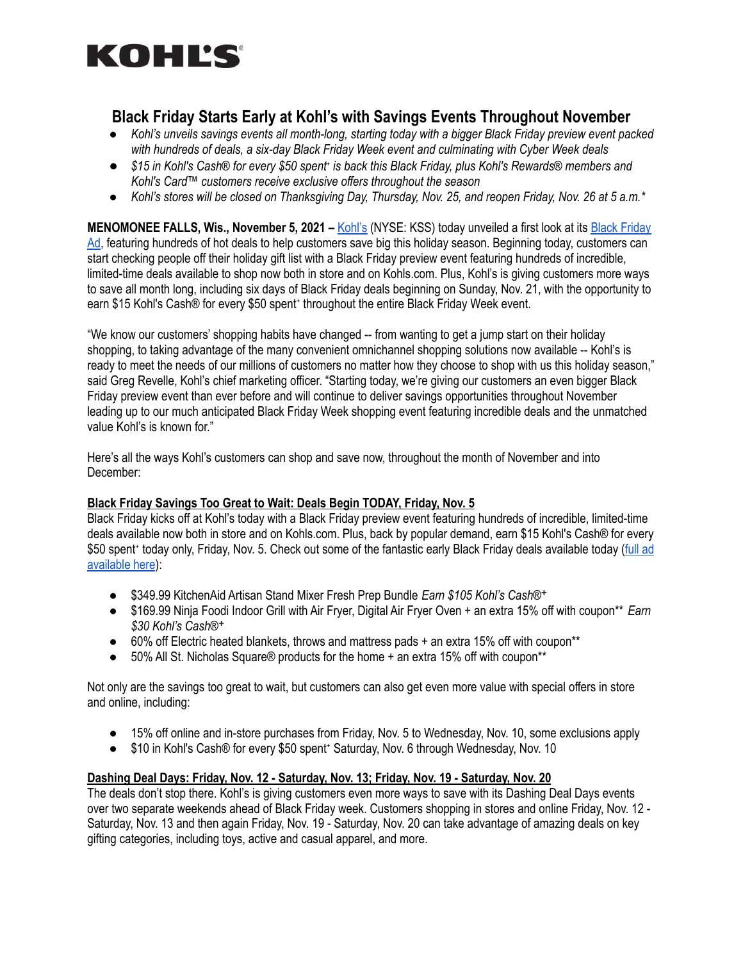

# **Black Friday Starts Early at Kohl's with Savings Events Throughout November**

- Kohl's unveils savings events all month-long, starting today with a bigger Black Friday preview event packed *with hundreds of deals, a six-day Black Friday Week event and culminating with Cyber Week deals*
- \$15 in Kohl's Cash® for every \$50 spent is back this Black Friday, plus Kohl's Rewards® members and *Kohl's Card™ customers receive exclusive offers throughout the season*
- Kohl's stores will be closed on Thanksgiving Day, Thursday, Nov. 25, and reopen Friday, Nov. 26 at 5 a.m.\*

**MENOMONEE FALLS, Wis., November 5, 2021 –** [Kohl's](http://www.kohls.com) (NYSE: KSS) today unveiled a first look at its Black [Friday](https://www.kohls.com/feature/flipp.jsp) [Ad](https://www.kohls.com/feature/flipp.jsp), featuring hundreds of hot deals to help customers save big this holiday season. Beginning today, customers can start checking people off their holiday gift list with a Black Friday preview event featuring hundreds of incredible, limited-time deals available to shop now both in store and on Kohls.com. Plus, Kohl's is giving customers more ways to save all month long, including six days of Black Friday deals beginning on Sunday, Nov. 21, with the opportunity to earn \$15 Kohl's Cash® for every \$50 spent<sup>+</sup> throughout the entire Black Friday Week event.

"We know our customers' shopping habits have changed -- from wanting to get a jump start on their holiday shopping, to taking advantage of the many convenient omnichannel shopping solutions now available -- Kohl's is ready to meet the needs of our millions of customers no matter how they choose to shop with us this holiday season," said Greg Revelle, Kohl's chief marketing officer. "Starting today, we're giving our customers an even bigger Black Friday preview event than ever before and will continue to deliver savings opportunities throughout November leading up to our much anticipated Black Friday Week shopping event featuring incredible deals and the unmatched value Kohl's is known for."

Here's all the ways Kohl's customers can shop and save now, throughout the month of November and into December:

#### **Black Friday Savings Too Great to Wait: Deals Begin TODAY, Friday, Nov. 5**

Black Friday kicks off at Kohl's today with a Black Friday preview event featuring hundreds of incredible, limited-time deals available now both in store and on Kohls.com. Plus, back by popular demand, earn \$15 Kohl's Cash® for every \$50 spent<sup>+</sup> today only, Friday, Nov. 5. Check out some of the fantastic early Black Friday deals available today [\(full](https://www.kohls.com/feature/flipp.jsp) ad [available](https://www.kohls.com/feature/flipp.jsp) here):

- \$349.99 KitchenAid Artisan Stand Mixer Fresh Prep Bundle *Earn \$105 Kohl's Cash®*ᐩ
- \$169.99 Ninja Foodi Indoor Grill with Air Fryer, Digital Air Fryer Oven + an extra 15% off with coupon\*\* *Earn \$30 Kohl's Cash®*ᐩ
- 60% off Electric heated blankets, throws and mattress pads + an extra 15% off with coupon\*\*
- $\bullet$  50% All St. Nicholas Square® products for the home + an extra 15% off with coupon\*\*

Not only are the savings too great to wait, but customers can also get even more value with special offers in store and online, including:

- 15% off online and in-store purchases from Friday, Nov. 5 to Wednesday, Nov. 10, some exclusions apply
- \$10 in Kohl's Cash® for every \$50 spent<sup>+</sup> Saturday, Nov. 6 through Wednesday, Nov. 10

#### **Dashing Deal Days: Friday, Nov. 12 - Saturday, Nov. 13; Friday, Nov. 19 - Saturday, Nov. 20**

The deals don't stop there. Kohl's is giving customers even more ways to save with its Dashing Deal Days events over two separate weekends ahead of Black Friday week. Customers shopping in stores and online Friday, Nov. 12 - Saturday, Nov. 13 and then again Friday, Nov. 19 - Saturday, Nov. 20 can take advantage of amazing deals on key gifting categories, including toys, active and casual apparel, and more.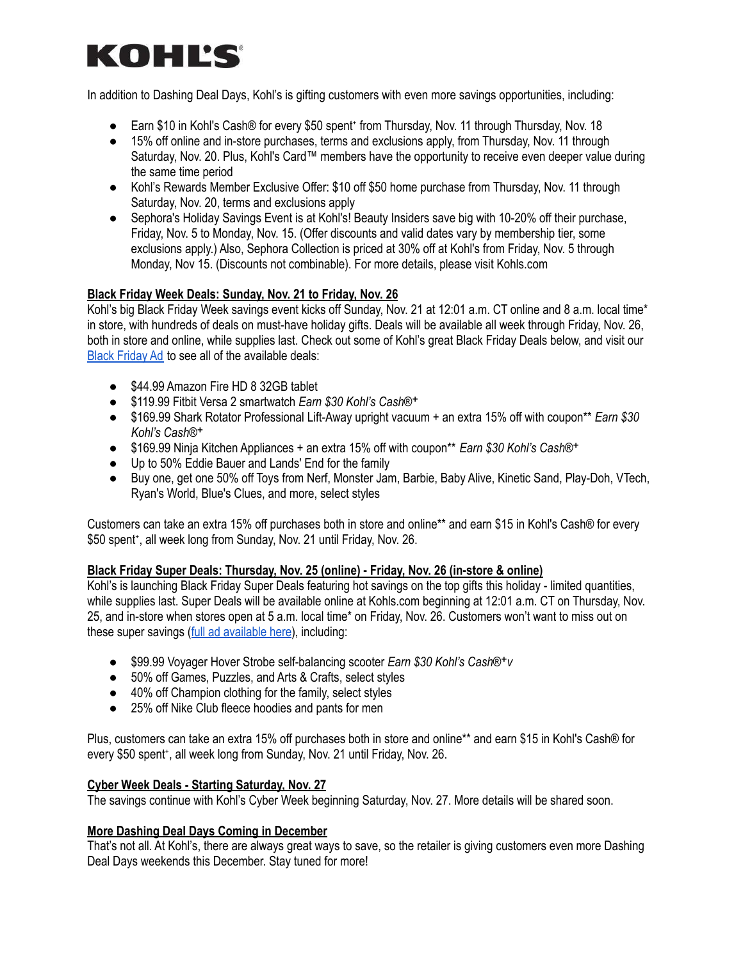# KOHLS

In addition to Dashing Deal Days, Kohl's is gifting customers with even more savings opportunities, including:

- Earn \$10 in Kohl's Cash® for every \$50 spent from Thursday, Nov. 11 through Thursday, Nov. 18
- 15% off online and in-store purchases, terms and exclusions apply, from Thursday, Nov. 11 through Saturday, Nov. 20. Plus, Kohl's Card™ members have the opportunity to receive even deeper value during the same time period
- Kohl's Rewards Member Exclusive Offer: \$10 off \$50 home purchase from Thursday, Nov. 11 through Saturday, Nov. 20, terms and exclusions apply
- Sephora's Holiday Savings Event is at Kohl's! Beauty Insiders save big with 10-20% off their purchase, Friday, Nov. 5 to Monday, Nov. 15. (Offer discounts and valid dates vary by membership tier, some exclusions apply.) Also, Sephora Collection is priced at 30% off at Kohl's from Friday, Nov. 5 through Monday, Nov 15. (Discounts not combinable). For more details, please visit Kohls.com

# **Black Friday Week Deals: Sunday, Nov. 21 to Friday, Nov. 26**

Kohl's big Black Friday Week savings event kicks off Sunday, Nov. 21 at 12:01 a.m. CT online and 8 a.m. local time\* in store, with hundreds of deals on must-have holiday gifts. Deals will be available all week through Friday, Nov. 26, both in store and online, while supplies last. Check out some of Kohl's great Black Friday Deals below, and visit our Black [Friday](https://www.kohls.com/feature/flipp.jsp) Ad to see all of the available deals:

- \$44.99 Amazon Fire HD 8 32GB tablet
- \$119.99 Fitbit Versa 2 smartwatch *Earn \$30 Kohl's Cash®*ᐩ
- \$169.99 Shark Rotator Professional Lift-Away upright vacuum + an extra 15% off with coupon\*\* *Earn \$30 Kohl's Cash®*ᐩ
- \$169.99 Ninja Kitchen Appliances + an extra 15% off with coupon\*\* *Earn \$30 Kohl's Cash®*ᐩ
- Up to 50% Eddie Bauer and Lands' End for the family
- Buy one, get one 50% off Toys from Nerf, Monster Jam, Barbie, Baby Alive, Kinetic Sand, Play-Doh, VTech, Ryan's World, Blue's Clues, and more, select styles

Customers can take an extra 15% off purchases both in store and online\*\* and earn \$15 in Kohl's Cash® for every \$50 spent\*, all week long from Sunday, Nov. 21 until Friday, Nov. 26.

# **Black Friday Super Deals: Thursday, Nov. 25 (online) - Friday, Nov. 26 (in-store & online)**

Kohl's is launching Black Friday Super Deals featuring hot savings on the top gifts this holiday - limited quantities, while supplies last. Super Deals will be available online at Kohls.com beginning at 12:01 a.m. CT on Thursday, Nov. 25, and in-store when stores open at 5 a.m. local time\* on Friday, Nov. 26. Customers won't want to miss out on these super savings (full ad [available](https://www.kohls.com/feature/flipp.jsp) here), including:

- \$99.99 Voyager Hover Strobe self-balancing scooter *Earn \$30 Kohl's Cash®*ᐩ*v*
- *●* 50% off Games, Puzzles, and Arts & Crafts, select styles
- *●* 40% off Champion clothing for the family, select styles
- 25% off Nike Club fleece hoodies and pants for men

Plus, customers can take an extra 15% off purchases both in store and online\*\* and earn \$15 in Kohl's Cash® for every \$50 spent\*, all week long from Sunday, Nov. 21 until Friday, Nov. 26.

# **Cyber Week Deals - Starting Saturday, Nov. 27**

The savings continue with Kohl's Cyber Week beginning Saturday, Nov. 27. More details will be shared soon.

# **More Dashing Deal Days Coming in December**

That's not all. At Kohl's, there are always great ways to save, so the retailer is giving customers even more Dashing Deal Days weekends this December. Stay tuned for more!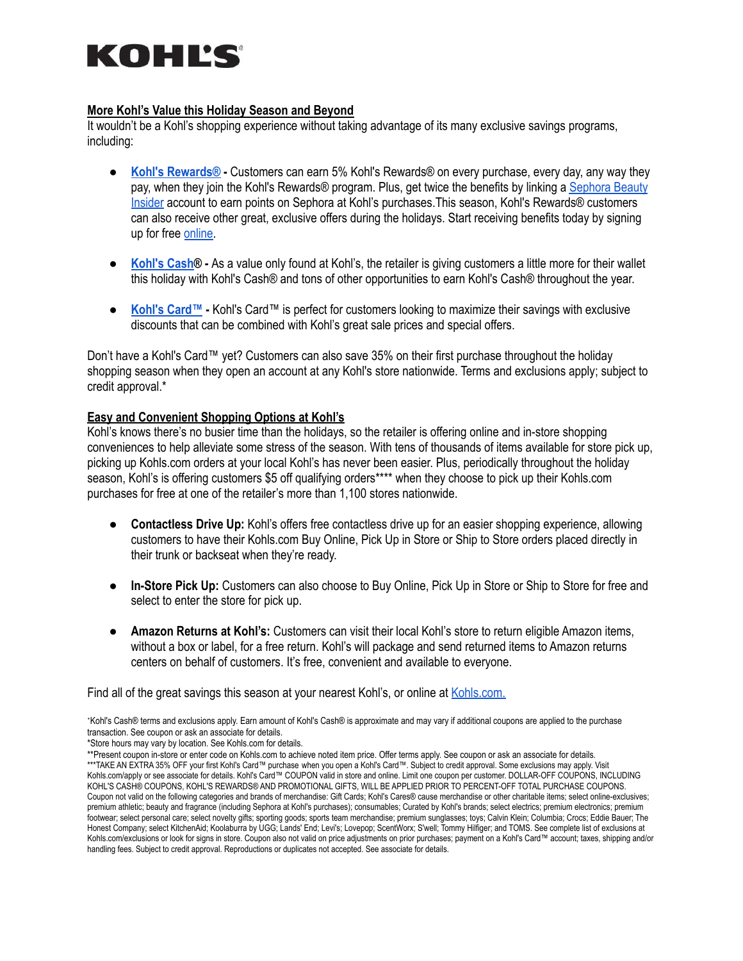# KOHĽS

#### **More Kohl's Value this Holiday Season and Beyond**

It wouldn't be a Kohl's shopping experience without taking advantage of its many exclusive savings programs, including:

- **Kohl's [Rewards®](https://www.kohls.com/feature/rewards.jsp) -** Customers can earn 5% Kohl's Rewards® on every purchase, every day, any way they pay, when they join the Kohl's Rewards® program. Plus, get twice the benefits by linking a [Sephora](https://www.kohls.com/feature/beautyrewards.jsp) Beauty [Insider](https://www.kohls.com/feature/beautyrewards.jsp) account to earn points on Sephora at Kohl's purchases.This season, Kohl's Rewards® customers can also receive other great, exclusive offers during the holidays. Start receiving benefits today by signing up for free [online.](https://www.kohls.com/feature/rewards.jsp)
- **[Kohl's](https://www.kohls.com/feature/kohls-cash.jsp) Cash® -** As a value only found at Kohl's, the retailer is giving customers a little more for their wallet this holiday with Kohl's Cash® and tons of other opportunities to earn Kohl's Cash® throughout the year.
- **Kohl's [Card™](https://www.kohls.com/sale-event/my-kohls-charge.jsp?searchTerm=kohls%20card&submit-search=web-regular) -** Kohl's Card™ is perfect for customers looking to maximize their savings with exclusive discounts that can be combined with Kohl's great sale prices and special offers.

Don't have a Kohl's Card™ yet? Customers can also save 35% on their first purchase throughout the holiday shopping season when they open an account at any Kohl's store nationwide. Terms and exclusions apply; subject to credit approval.\*

# **Easy and Convenient Shopping Options at Kohl's**

Kohl's knows there's no busier time than the holidays, so the retailer is offering online and in-store shopping conveniences to help alleviate some stress of the season. With tens of thousands of items available for store pick up, picking up Kohls.com orders at your local Kohl's has never been easier. Plus, periodically throughout the holiday season, Kohl's is offering customers \$5 off qualifying orders\*\*\*\* when they choose to pick up their Kohls.com purchases for free at one of the retailer's more than 1,100 stores nationwide.

- **Contactless Drive Up:** Kohl's offers free contactless drive up for an easier shopping experience, allowing customers to have their Kohls.com Buy Online, Pick Up in Store or Ship to Store orders placed directly in their trunk or backseat when they're ready.
- **In-Store Pick Up:** Customers can also choose to Buy Online, Pick Up in Store or Ship to Store for free and select to enter the store for pick up.
- **Amazon Returns at Kohl's:** Customers can visit their local Kohl's store to return eligible Amazon items, without a box or label, for a free return. Kohl's will package and send returned items to Amazon returns centers on behalf of customers. It's free, convenient and available to everyone.

Find all of the great savings this season at your nearest Kohl's, or online at [Kohls.com.](http://www.kohls.com)

⁺Kohl's Cash® terms and exclusions apply. Earn amount of Kohl's Cash® is approximate and may vary if additional coupons are applied to the purchase transaction. See coupon or ask an associate for details.

\*Store hours may vary by location. See Kohls.com for details.

\*\*Present coupon in-store or enter code on Kohls.com to achieve noted item price. Offer terms apply. See coupon or ask an associate for details. \*\*\*TAKE AN EXTRA 35% OFF your first Kohl's Card™ purchase when you open a Kohl's Card™. Subject to credit approval. Some exclusions may apply. Visit Kohls.com/apply or see associate for details. Kohl's Card™ COUPON valid in store and online. Limit one coupon per customer. DOLLAR-OFF COUPONS, INCLUDING KOHL'S CASH® COUPONS, KOHL'S REWARDS® AND PROMOTIONAL GIFTS, WILL BE APPLIED PRIOR TO PERCENT-OFF TOTAL PURCHASE COUPONS. Coupon not valid on the following categories and brands of merchandise: Gift Cards; Kohl's Cares® cause merchandise or other charitable items; select online-exclusives; premium athletic; beauty and fragrance (including Sephora at Kohl's purchases); consumables; Curated by Kohl's brands; select electrics; premium electronics; premium footwear; select personal care; select novelty gifts; sporting goods; sports team merchandise; premium sunglasses; toys; Calvin Klein; Columbia; Crocs; Eddie Bauer; The Honest Company; select KitchenAid; Koolaburra by UGG; Lands' End; Levi's; Lovepop; ScentWorx; S'well; Tommy Hilfiger; and TOMS. See complete list of exclusions at Kohls.com/exclusions or look for signs in store. Coupon also not valid on price adjustments on prior purchases; payment on a Kohl's Card™ account; taxes, shipping and/or handling fees. Subject to credit approval. Reproductions or duplicates not accepted. See associate for details.